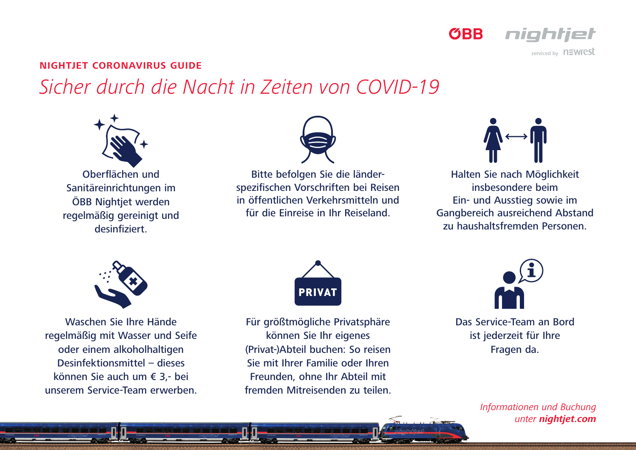

serviced by n=wrest

## **NIGHTJET CORONAVIRUS GUIDE**

## *Sicher durch die Nacht in Zeiten von COVID-19*



Oberflächen und Sanitäreinrichtungen im ÖBB Nightiet werden regelmäßig gereinigt und desinfiziert.



Bitte befolgen Sie die länderspezifischen Vorschriften bei Reisen in öffentlichen Verkehrsmitteln und für die Einreise in Ihr Reiseland.



Halten Sie nach Möglichkeit insbesondere beim Ein- und Ausstieg sowie im Gangbereich ausreichend Abstand zu haushaltsfremden Personen.



Waschen Sie Ihre Hände regelmäßig mit Wasser und Seife oder einem alkoholhaltigen Desinfektionsmittel – dieses können Sie auch um € 3,- bei unserem Service-Team erwerben.



Für größtmögliche Privatsphäre können Sie Ihr eigenes (Privat-)Abteil buchen: So reisen Sie mit Ihrer Familie oder Ihren Freunden, ohne Ihr Abteil mit fremden Mitreisenden zu teilen.



Das Service-Team an Bord ist jederzeit für Ihre Fragen da.

> *Informationen und Buchung unter nightjet.com*